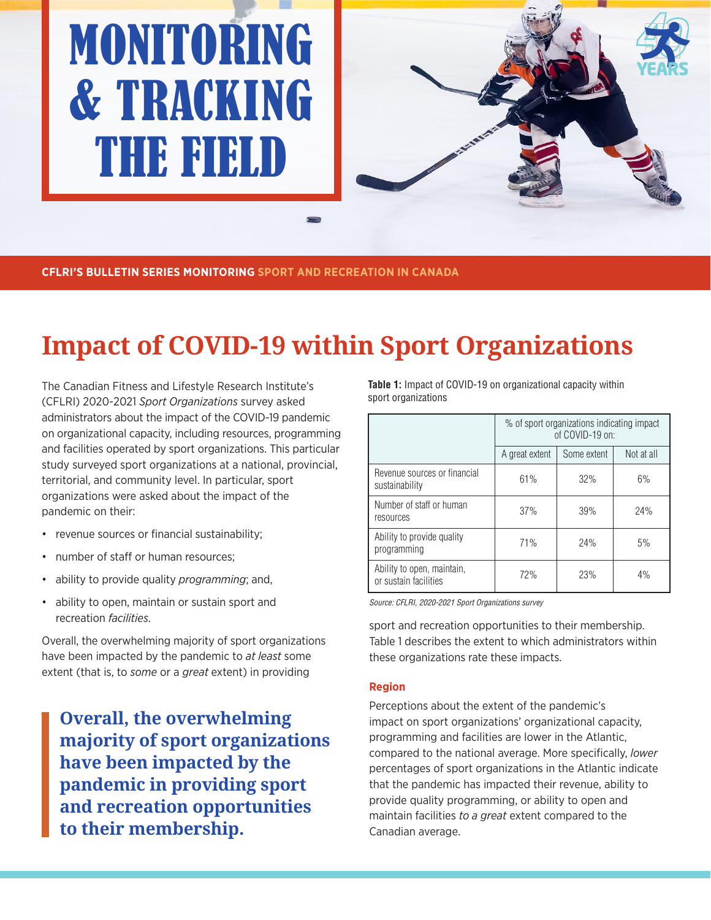# MONITORING & TRACKING THE FIELD



**CFLRI'S BULLETIN SERIES MONITORING SPORT AND RECREATION IN CANADA**

# **Impact of COVID-19 within Sport Organizations**

The Canadian Fitness and Lifestyle Research Institute's (CFLRI) 2020-2021 *Sport Organizations* survey asked administrators about the impact of the COVID-19 pandemic on organizational capacity, including resources, programming and facilities operated by sport organizations. This particular study surveyed sport organizations at a national, provincial, territorial, and community level. In particular, sport organizations were asked about the impact of the pandemic on their:

- revenue sources or financial sustainability;
- number of staff or human resources;
- ability to provide quality *programming*; and,
- ability to open, maintain or sustain sport and recreation *facilities*.

Overall, the overwhelming majority of sport organizations have been impacted by the pandemic to *at least* some extent (that is, to *some* or a *great* extent) in providing

**Overall, the overwhelming majority of sport organizations have been impacted by the pandemic in providing sport and recreation opportunities to their membership.** 

**Table 1:** Impact of COVID-19 on organizational capacity within sport organizations

|                                                     | % of sport organizations indicating impact<br>of COVID-19 on: |             |            |
|-----------------------------------------------------|---------------------------------------------------------------|-------------|------------|
|                                                     | A great extent                                                | Some extent | Not at all |
| Revenue sources or financial<br>sustainability      | 61%                                                           | 32%         | 6%         |
| Number of staff or human<br>resources               | 37%                                                           | 39%         | 24%        |
| Ability to provide quality<br>programming           | 71%                                                           | 24%         | 5%         |
| Ability to open, maintain,<br>or sustain facilities | 72%                                                           | 23%         | 4%         |

Source: CFLRI, 2020-2021 Sport Organizations survey

sport and recreation opportunities to their membership. Table 1 describes the extent to which administrators within these organizations rate these impacts.

#### **Region**

Perceptions about the extent of the pandemic's impact on sport organizations' organizational capacity, programming and facilities are lower in the Atlantic, compared to the national average. More specifically, *lower* percentages of sport organizations in the Atlantic indicate that the pandemic has impacted their revenue, ability to provide quality programming, or ability to open and maintain facilities *to a great* extent compared to the Canadian average.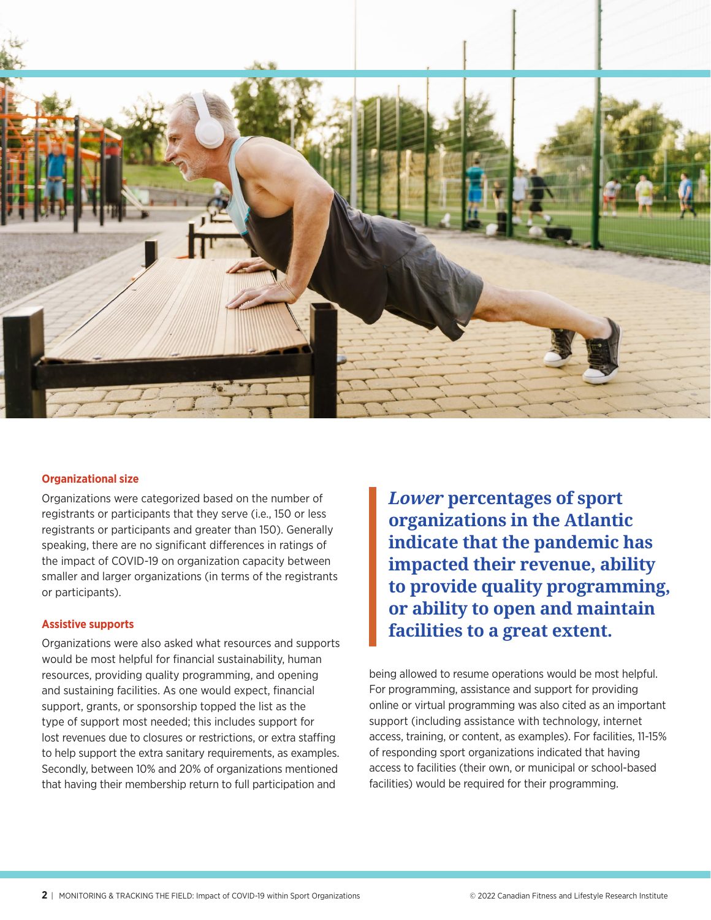

### **Organizational size**

Organizations were categorized based on the number of registrants or participants that they serve (i.e., 150 or less registrants or participants and greater than 150). Generally speaking, there are no significant differences in ratings of the impact of COVID-19 on organization capacity between smaller and larger organizations (in terms of the registrants or participants).

#### **Assistive supports**

Organizations were also asked what resources and supports would be most helpful for financial sustainability, human resources, providing quality programming, and opening and sustaining facilities. As one would expect, financial support, grants, or sponsorship topped the list as the type of support most needed; this includes support for lost revenues due to closures or restrictions, or extra staffing to help support the extra sanitary requirements, as examples. Secondly, between 10% and 20% of organizations mentioned that having their membership return to full participation and

*Lower* **percentages of sport organizations in the Atlantic indicate that the pandemic has impacted their revenue, ability to provide quality programming, or ability to open and maintain facilities to a great extent.**

being allowed to resume operations would be most helpful. For programming, assistance and support for providing online or virtual programming was also cited as an important support (including assistance with technology, internet access, training, or content, as examples). For facilities, 11-15% of responding sport organizations indicated that having access to facilities (their own, or municipal or school-based facilities) would be required for their programming.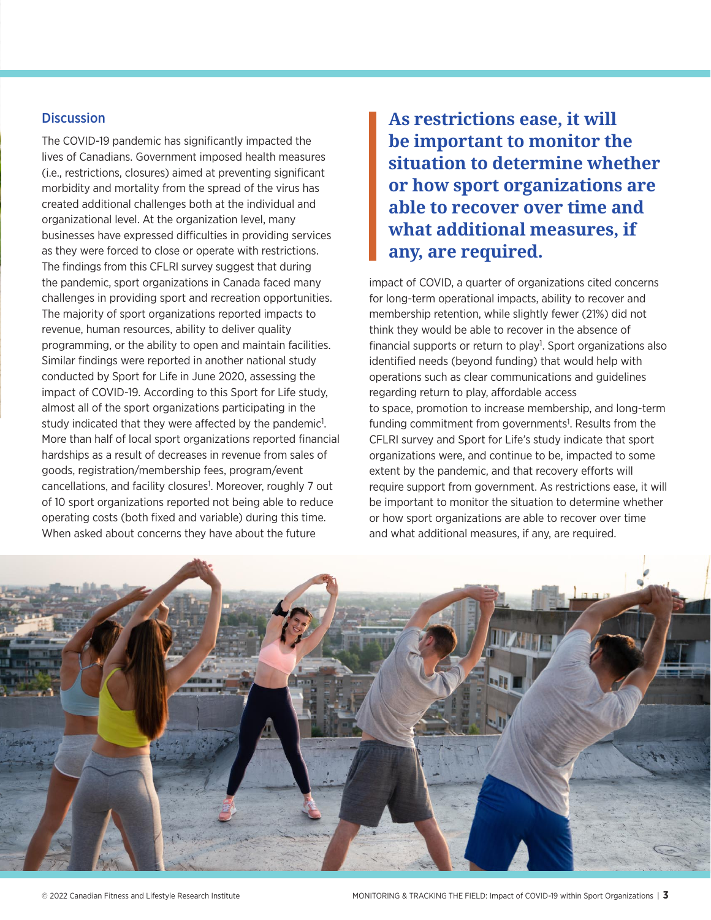### **Discussion**

The COVID-19 pandemic has significantly impacted the lives of Canadians. Government imposed health measures (i.e., restrictions, closures) aimed at preventing significant morbidity and mortality from the spread of the virus has created additional challenges both at the individual and organizational level. At the organization level, many businesses have expressed difficulties in providing services as they were forced to close or operate with restrictions. The findings from this CFLRI survey suggest that during the pandemic, sport organizations in Canada faced many challenges in providing sport and recreation opportunities. The majority of sport organizations reported impacts to revenue, human resources, ability to deliver quality programming, or the ability to open and maintain facilities. Similar findings were reported in another national study conducted by Sport for Life in June 2020, assessing the impact of COVID-19. According to this Sport for Life study, almost all of the sport organizations participating in the study indicated that they were affected by the pandemic<sup>1</sup>. More than half of local sport organizations reported financial hardships as a result of decreases in revenue from sales of goods, registration/membership fees, program/event cancellations, and facility closures<sup>1</sup>. Moreover, roughly 7 out of 10 sport organizations reported not being able to reduce operating costs (both fixed and variable) during this time. When asked about concerns they have about the future

**As restrictions ease, it will be important to monitor the situation to determine whether or how sport organizations are able to recover over time and what additional measures, if any, are required.** 

impact of COVID, a quarter of organizations cited concerns for long-term operational impacts, ability to recover and membership retention, while slightly fewer (21%) did not think they would be able to recover in the absence of financial supports or return to play<sup>1</sup>. Sport organizations also identified needs (beyond funding) that would help with operations such as clear communications and guidelines regarding return to play, affordable access to space, promotion to increase membership, and long-term funding commitment from governments<sup>1</sup>. Results from the CFLRI survey and Sport for Life's study indicate that sport organizations were, and continue to be, impacted to some extent by the pandemic, and that recovery efforts will require support from government. As restrictions ease, it will be important to monitor the situation to determine whether or how sport organizations are able to recover over time and what additional measures, if any, are required.